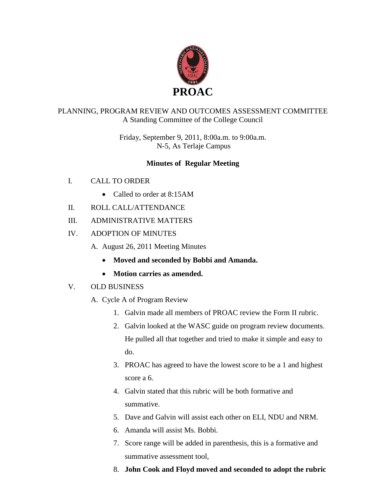

## PLANNING, PROGRAM REVIEW AND OUTCOMES ASSESSMENT COMMITTEE A Standing Committee of the College Council

Friday, September 9, 2011, 8:00a.m. to 9:00a.m. N-5, As Terlaje Campus

# **Minutes of Regular Meeting**

- I. CALL TO ORDER
	- Called to order at 8:15AM
- II. ROLL CALL/ATTENDANCE
- III. ADMINISTRATIVE MATTERS
- IV. ADOPTION OF MINUTES
	- A. August 26, 2011 Meeting Minutes
		- **Moved and seconded by Bobbi and Amanda.**
		- **Motion carries as amended.**
- V. OLD BUSINESS
	- A. Cycle A of Program Review
		- 1. Galvin made all members of PROAC review the Form II rubric.
		- 2. Galvin looked at the WASC guide on program review documents. He pulled all that together and tried to make it simple and easy to do.
		- 3. PROAC has agreed to have the lowest score to be a 1 and highest score a 6.
		- 4. Galvin stated that this rubric will be both formative and summative.
		- 5. Dave and Galvin will assist each other on ELI, NDU and NRM.
		- 6. Amanda will assist Ms. Bobbi.
		- 7. Score range will be added in parenthesis, this is a formative and summative assessment tool,
		- 8. **John Cook and Floyd moved and seconded to adopt the rubric**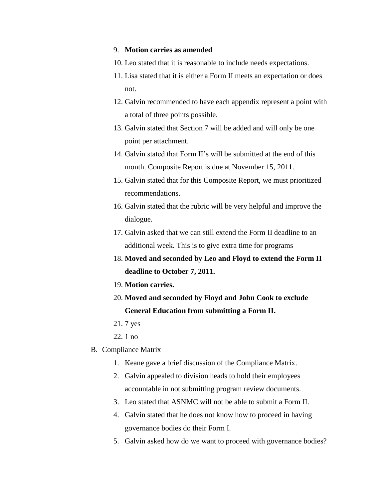#### 9. **Motion carries as amended**

- 10. Leo stated that it is reasonable to include needs expectations.
- 11. Lisa stated that it is either a Form II meets an expectation or does not.
- 12. Galvin recommended to have each appendix represent a point with a total of three points possible.
- 13. Galvin stated that Section 7 will be added and will only be one point per attachment.
- 14. Galvin stated that Form II's will be submitted at the end of this month. Composite Report is due at November 15, 2011.
- 15. Galvin stated that for this Composite Report, we must prioritized recommendations.
- 16. Galvin stated that the rubric will be very helpful and improve the dialogue.
- 17. Galvin asked that we can still extend the Form II deadline to an additional week. This is to give extra time for programs
- 18. **Moved and seconded by Leo and Floyd to extend the Form II deadline to October 7, 2011.**
- 19. **Motion carries.**
- 20. **Moved and seconded by Floyd and John Cook to exclude General Education from submitting a Form II.**
- 21. 7 yes
- 22. 1 no
- B. Compliance Matrix
	- 1. Keane gave a brief discussion of the Compliance Matrix.
	- 2. Galvin appealed to division heads to hold their employees accountable in not submitting program review documents.
	- 3. Leo stated that ASNMC will not be able to submit a Form II.
	- 4. Galvin stated that he does not know how to proceed in having governance bodies do their Form I.
	- 5. Galvin asked how do we want to proceed with governance bodies?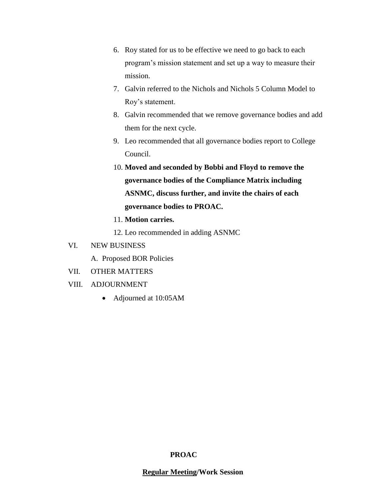- 6. Roy stated for us to be effective we need to go back to each program's mission statement and set up a way to measure their mission.
- 7. Galvin referred to the Nichols and Nichols 5 Column Model to Roy's statement.
- 8. Galvin recommended that we remove governance bodies and add them for the next cycle.
- 9. Leo recommended that all governance bodies report to College Council.
- 10. **Moved and seconded by Bobbi and Floyd to remove the governance bodies of the Compliance Matrix including ASNMC, discuss further, and invite the chairs of each governance bodies to PROAC.**
- 11. **Motion carries.**
- 12. Leo recommended in adding ASNMC

### VI. NEW BUSINESS

- A. Proposed BOR Policies
- VII. OTHER MATTERS
- VIII. ADJOURNMENT
	- Adjourned at 10:05AM

#### **PROAC**